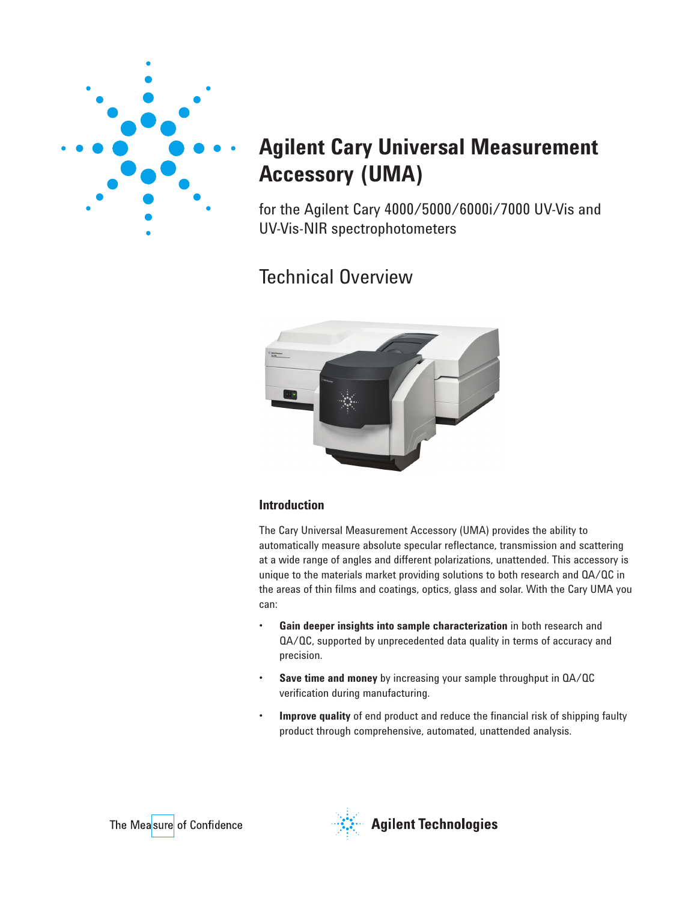

# **Agilent Cary Universal Measurement Accessory (UMA)**

for the Agilent Cary 4000/5000/6000i/7000 UV-Vis and UV-Vis-NIR spectrophotometers

## Technical Overview



### **Introduction**

The Cary Universal Measurement Accessory (UMA) provides the ability to automatically measure absolute specular reflectance, transmission and scattering at a wide range of angles and different polarizations, unattended. This accessory is unique to the materials market providing solutions to both research and QA/QC in the areas of thin films and coatings, optics, glass and solar. With the Cary UMA you can:

- **Gain deeper insights into sample characterization** in both research and QA/QC, supported by unprecedented data quality in terms of accuracy and precision.
- **Save time and money** by increasing your sample throughput in  $QA/QC$ verification during manufacturing.
- **Improve quality** of end product and reduce the financial risk of shipping faulty product through comprehensive, automated, unattended analysis.





**Agilent Technologies**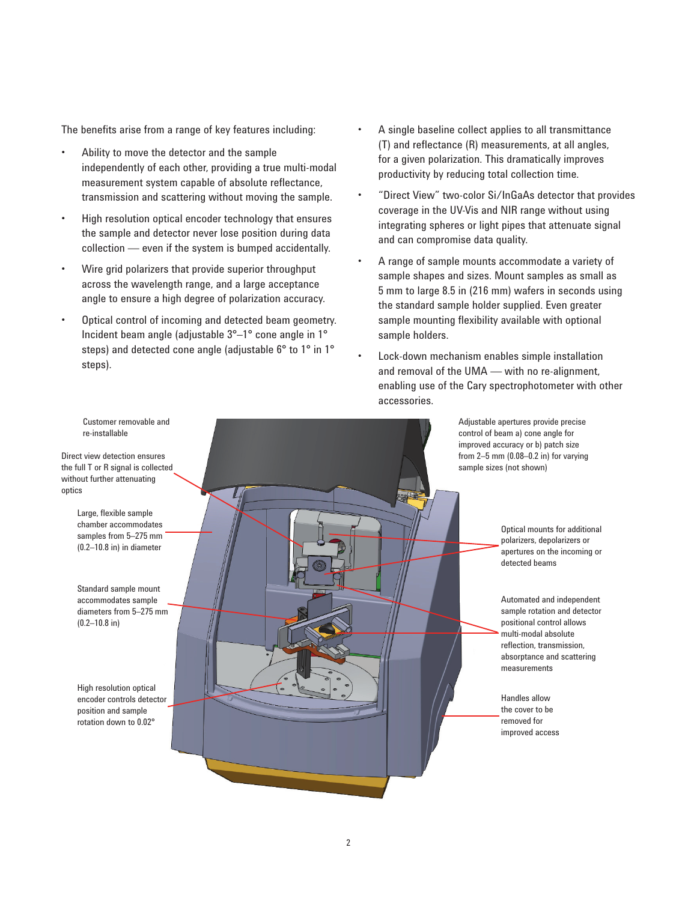The benefits arise from a range of key features including:

- Ability to move the detector and the sample independently of each other, providing a true multi-modal measurement system capable of absolute reflectance, transmission and scattering without moving the sample.
- High resolution optical encoder technology that ensures the sample and detector never lose position during data collection — even if the system is bumped accidentally.
- Wire grid polarizers that provide superior throughput across the wavelength range, and a large acceptance angle to ensure a high degree of polarization accuracy.
- Optical control of incoming and detected beam geometry. Incident beam angle (adjustable 3°–1° cone angle in 1° steps) and detected cone angle (adjustable 6° to 1° in 1° steps).
- A single baseline collect applies to all transmittance  $(T)$  and reflectance  $(R)$  measurements, at all angles, for a given polarization. This dramatically improves productivity by reducing total collection time.
- "Direct View" two-color Si/InGaAs detector that provides coverage in the UV-Vis and NIR range without using integrating spheres or light pipes that attenuate signal and can compromise data quality.
- A range of sample mounts accommodate a variety of sample shapes and sizes. Mount samples as small as 5 mm to large 8.5 in (216 mm) wafers in seconds using the standard sample holder supplied. Even greater sample mounting flexibility available with optional sample holders.
- Lock-down mechanism enables simple installation and removal of the UMA — with no re-alignment, enabling use of the Cary spectrophotometer with other accessories.

Adjustable apertures provide precise control of beam a) cone angle for improved accuracy or b) patch size from 2–5 mm (0.08–0.2 in) for varying sample sizes (not shown)

> Optical mounts for additional polarizers, depolarizers or apertures on the incoming or detected beams

Automated and independent sample rotation and detector positional control allows multi-modal absolute reflection, transmission, absorptance and scattering measurements

Handles allow the cover to be removed for improved access

2

re-installable

Direct view detection ensures the full T or R signal is collected without further attenuating optics

> Large, flexible sample chamber accommodates samples from 5–275 mm (0.2–10.8 in) in diameter

Standard sample mount accommodates sample diameters from 5–275 mm (0.2–10.8 in)

High resolution optical encoder controls detector position and sample rotation down to 0.02°

Customer removable and

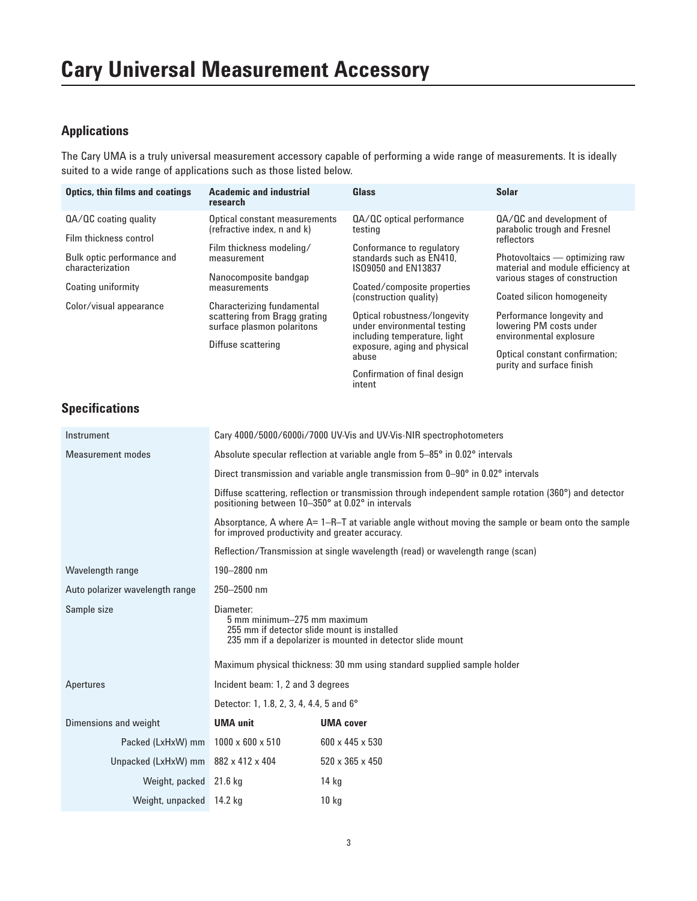### **Applications**

The Cary UMA is a truly universal measurement accessory capable of performing a wide range of measurements. It is ideally suited to a wide range of applications such as those listed below.

| <b>Optics, thin films and coatings</b>                                                            | <b>Academic and industrial</b><br>research                                                                                                                                                                                                                          | Glass                                                                                                                                                                | <b>Solar</b>                                                                                                                                                                    |
|---------------------------------------------------------------------------------------------------|---------------------------------------------------------------------------------------------------------------------------------------------------------------------------------------------------------------------------------------------------------------------|----------------------------------------------------------------------------------------------------------------------------------------------------------------------|---------------------------------------------------------------------------------------------------------------------------------------------------------------------------------|
| QA/QC coating quality<br>Film thickness control<br>Bulk optic performance and<br>characterization | Optical constant measurements<br>(refractive index, n and k)<br>Film thickness modeling/<br>measurement<br>Nanocomposite bandgap<br>measurements<br>Characterizing fundamental<br>scattering from Bragg grating<br>surface plasmon polaritons<br>Diffuse scattering | QA/QC optical performance<br>testina<br>Conformance to regulatory<br>standards such as EN410.<br>IS09050 and EN13837                                                 | QA/QC and development of<br>parabolic trough and Fresnel<br>reflectors<br>Photovoltaics — optimizing raw<br>material and module efficiency at<br>various stages of construction |
| Coating uniformity<br>Color/visual appearance                                                     |                                                                                                                                                                                                                                                                     | Coated/composite properties<br>(construction quality)                                                                                                                | Coated silicon homogeneity                                                                                                                                                      |
|                                                                                                   |                                                                                                                                                                                                                                                                     | Optical robustness/longevity<br>under environmental testing<br>including temperature, light<br>exposure, aging and physical<br>abuse<br>Confirmation of final design | Performance longevity and<br>lowering PM costs under<br>environmental explosure                                                                                                 |
|                                                                                                   |                                                                                                                                                                                                                                                                     |                                                                                                                                                                      | Optical constant confirmation;<br>purity and surface finish                                                                                                                     |

intent

## **Specifications**

| Instrument                      | Cary 4000/5000/6000i/7000 UV-Vis and UV-Vis-NIR spectrophotometers                                                                                                                                                                               |                  |  |
|---------------------------------|--------------------------------------------------------------------------------------------------------------------------------------------------------------------------------------------------------------------------------------------------|------------------|--|
| <b>Measurement modes</b>        | Absolute specular reflection at variable angle from 5-85° in 0.02° intervals                                                                                                                                                                     |                  |  |
|                                 | Direct transmission and variable angle transmission from 0–90° in 0.02° intervals<br>Diffuse scattering, reflection or transmission through independent sample rotation (360°) and detector<br>positioning between 10-350° at 0.02° in intervals |                  |  |
|                                 |                                                                                                                                                                                                                                                  |                  |  |
|                                 | Absorptance, A where $A = 1 - R - T$ at variable angle without moving the sample or beam onto the sample<br>for improved productivity and greater accuracy.                                                                                      |                  |  |
|                                 | Reflection/Transmission at single wavelength (read) or wavelength range (scan)                                                                                                                                                                   |                  |  |
| Wavelength range                | 190-2800 nm                                                                                                                                                                                                                                      |                  |  |
| Auto polarizer wavelength range | 250-2500 nm                                                                                                                                                                                                                                      |                  |  |
| Sample size                     | Diameter:<br>5 mm minimum-275 mm maximum<br>255 mm if detector slide mount is installed<br>235 mm if a depolarizer is mounted in detector slide mount                                                                                            |                  |  |
|                                 | Maximum physical thickness: 30 mm using standard supplied sample holder                                                                                                                                                                          |                  |  |
| Apertures                       | Incident beam: 1, 2 and 3 degrees                                                                                                                                                                                                                |                  |  |
|                                 | Detector: 1, 1.8, 2, 3, 4, 4.4, 5 and 6°                                                                                                                                                                                                         |                  |  |
| Dimensions and weight           | <b>UMA unit</b>                                                                                                                                                                                                                                  | <b>UMA cover</b> |  |
| Packed (LxHxW) mm               | $1000 \times 600 \times 510$                                                                                                                                                                                                                     | 600 x 445 x 530  |  |
| Unpacked (LxHxW) mm             | 882 x 412 x 404                                                                                                                                                                                                                                  | 520 x 365 x 450  |  |
| Weight, packed 21.6 kg          |                                                                                                                                                                                                                                                  | $14$ kg          |  |
| Weight, unpacked 14.2 kg        |                                                                                                                                                                                                                                                  | $10$ kg          |  |